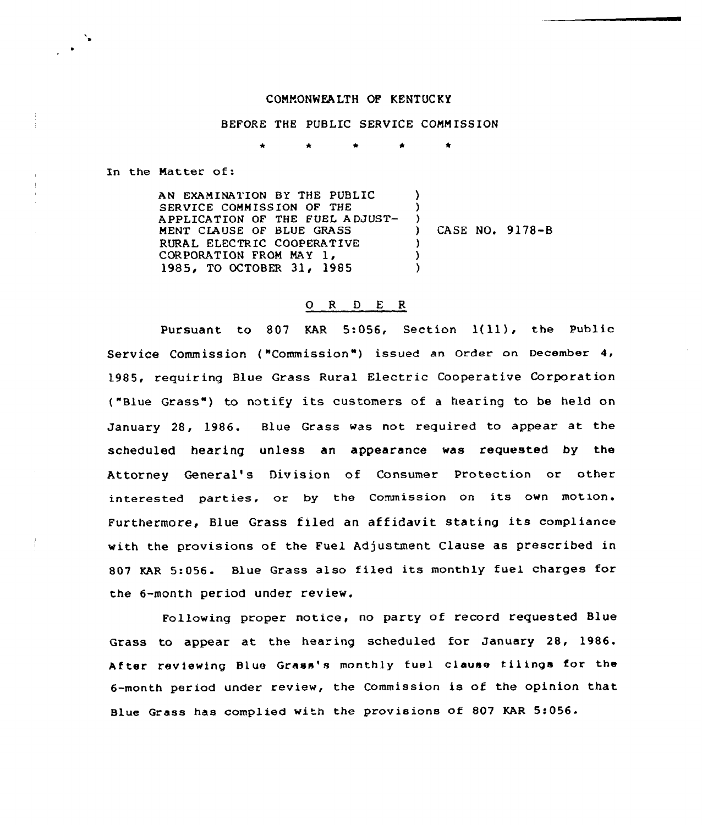## CONNONNEALTH OF KENTUCKY

## BEFORE THE PUBLIC SERVICE COMMISSION

\* \* \*

In the Matter of:

AN EXAMINATION BY THE PUBLIC  $\lambda$ SERVICE COMMISSION OF THE ) APPLICATION OF THE FUEL ADJUST-) CASE NO. 9178-B MENT CIAUSE QF BLUE GRASS RURAL ELECTRIC COOPERATIVE<br>CORPORATION FROM MAY 1,  $\lambda$ ) 1985, TO OCTOBER 31, 1985  $\lambda$ 

## 0 <sup>R</sup> <sup>D</sup> <sup>E</sup> <sup>R</sup>

Pursuant to <sup>807</sup> KAR 5:056, Section 1(ll), the Public Service Commission ("Commission") issued an Order on December 4, 1985, requiring Blue Grass Rural Electric Cooperative Corporation ("Blue Grass") to notify its customers of a hearing to be held on January 28, 1986. Blue Grass was not required to appear at the scheduled hearing unless an appearance was requested by the Attorney General's Division of Consumer Protection or other interested parties, or by the Commission on its own motion. Furthermore, Blue Grass filed an affidavit stating its compliance with the provisions of the Fuel Adjustment Clause as prescribed in 807 KAR 5:056. Blue Grass also filed its monthly fuel charges for the 6-month period under review.

Following proper notice, no party of record requested Blue Grass to appear at the hearing scheduled for January 28, 1986. After reviewing Blue Grass's monthly fuel clause filings for the 6-month period under review, the Commission is of the opinion that Blue Grass has complied with the provisions of 807 KAR 5:056.